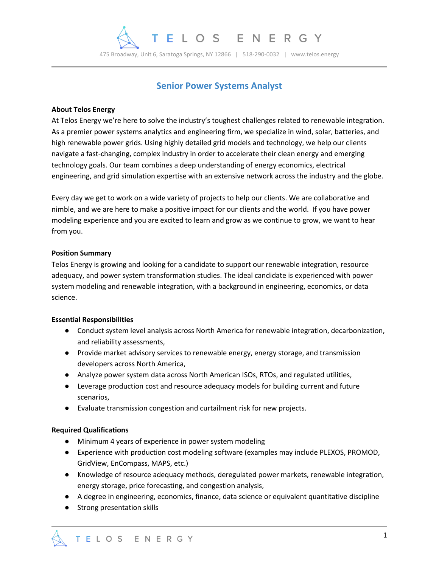

# **Senior Power Systems Analyst**

## **About Telos Energy**

At Telos Energy we're here to solve the industry's toughest challenges related to renewable integration. As a premier power systems analytics and engineering firm, we specialize in wind, solar, batteries, and high renewable power grids. Using highly detailed grid models and technology, we help our clients navigate a fast-changing, complex industry in order to accelerate their clean energy and emerging technology goals. Our team combines a deep understanding of energy economics, electrical engineering, and grid simulation expertise with an extensive network across the industry and the globe.

Every day we get to work on a wide variety of projects to help our clients. We are collaborative and nimble, and we are here to make a positive impact for our clients and the world. If you have power modeling experience and you are excited to learn and grow as we continue to grow, we want to hear from you.

## **Position Summary**

Telos Energy is growing and looking for a candidate to support our renewable integration, resource adequacy, and power system transformation studies. The ideal candidate is experienced with power system modeling and renewable integration, with a background in engineering, economics, or data science.

#### **Essential Responsibilities**

- Conduct system level analysis across North America for renewable integration, decarbonization, and reliability assessments,
- Provide market advisory services to renewable energy, energy storage, and transmission developers across North America,
- Analyze power system data across North American ISOs, RTOs, and regulated utilities,
- Leverage production cost and resource adequacy models for building current and future scenarios,
- Evaluate transmission congestion and curtailment risk for new projects.

## **Required Qualifications**

- Minimum 4 years of experience in power system modeling
- Experience with production cost modeling software (examples may include PLEXOS, PROMOD, GridView, EnCompass, MAPS, etc.)
- Knowledge of resource adequacy methods, deregulated power markets, renewable integration, energy storage, price forecasting, and congestion analysis,
- A degree in engineering, economics, finance, data science or equivalent quantitative discipline
- Strong presentation skills